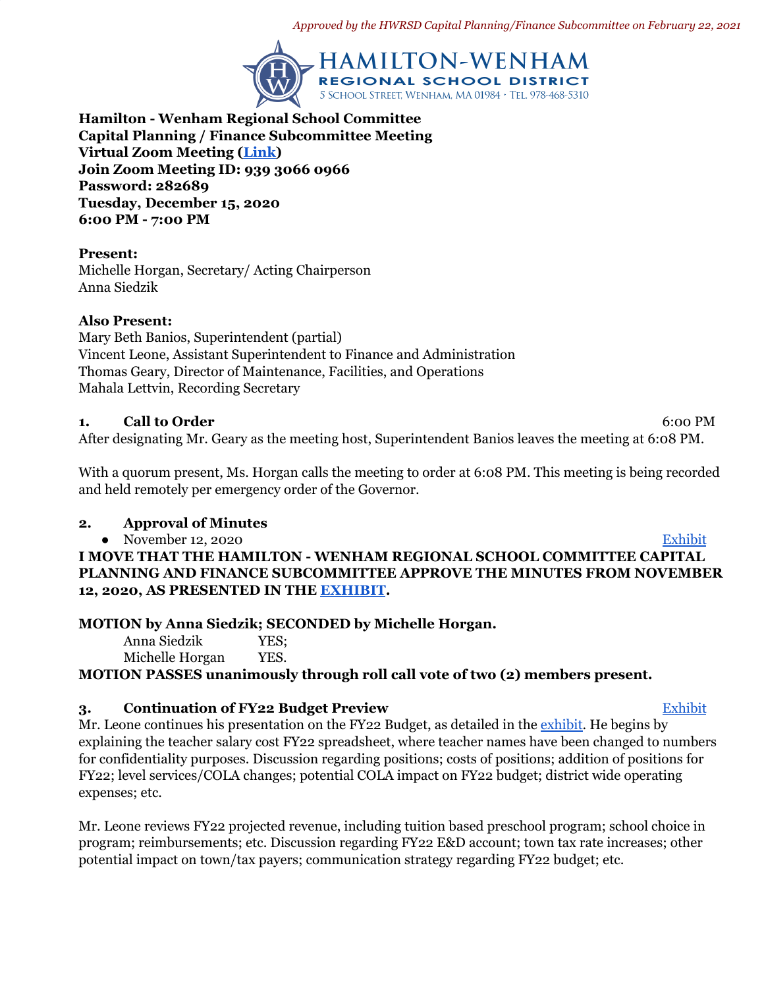*Approved by the HWRSD Capital Planning/Finance Subcommittee on February 22, 2021*



**Hamilton - Wenham Regional School Committee Capital Planning / Finance Subcommittee Meeting Virtual Zoom Meeting ([Link](https://zoom.us/j/93930660966?pwd=QlVOckwzWWg2ZUZ4OHBTc1dLOUY4UT09)) Join Zoom Meeting ID: 939 3066 0966 Password: 282689 Tuesday, December 15, 2020 6:00 PM - 7:00 PM**

**Present:** Michelle Horgan, Secretary/ Acting Chairperson Anna Siedzik

### **Also Present:**

Mary Beth Banios, Superintendent (partial) Vincent Leone, Assistant Superintendent to Finance and Administration Thomas Geary, Director of Maintenance, Facilities, and Operations Mahala Lettvin, Recording Secretary

### **1. Call to Order** 6:00 PM

After designating Mr. Geary as the meeting host, Superintendent Banios leaves the meeting at 6:08 PM.

With a quorum present, Ms. Horgan calls the meeting to order at 6:08 PM. This meeting is being recorded and held remotely per emergency order of the Governor.

## **2. Approval of Minutes**

November 12, 2020 [Exhibit](https://drive.google.com/file/d/1kl5WBpzuTJilc3JukzHnjoIcEkcGM3Fr/view?usp=sharing) **I MOVE THAT THE HAMILTON - WENHAM REGIONAL SCHOOL COMMITTEE CAPITAL PLANNING AND FINANCE SUBCOMMITTEE APPROVE THE MINUTES FROM NOVEMBER 12, 2020, AS PRESENTED IN THE [EXHIBIT](https://drive.google.com/file/d/1kl5WBpzuTJilc3JukzHnjoIcEkcGM3Fr/view?usp=sharing).**

## **MOTION by Anna Siedzik; SECONDED by Michelle Horgan.**

Anna Siedzik YES; Michelle Horgan YES.

**MOTION PASSES unanimously through roll call vote of two (2) members present.**

## **3. Continuation of FY22 Budget Preview** The Contract of [Exhibit](https://drive.google.com/file/d/1bsRZRCM-EOOAMuucl6c0vDoxncAf80OE/view?usp=sharing)

Mr. Leone continues his presentation on the FY22 Budget, as detailed in the [exhibit.](https://drive.google.com/file/d/1bsRZRCM-EOOAMuucl6c0vDoxncAf80OE/view?usp=sharing) He begins by explaining the teacher salary cost FY22 spreadsheet, where teacher names have been changed to numbers for confidentiality purposes. Discussion regarding positions; costs of positions; addition of positions for FY22; level services/COLA changes; potential COLA impact on FY22 budget; district wide operating expenses; etc.

Mr. Leone reviews FY22 projected revenue, including tuition based preschool program; school choice in program; reimbursements; etc. Discussion regarding FY22 E&D account; town tax rate increases; other potential impact on town/tax payers; communication strategy regarding FY22 budget; etc.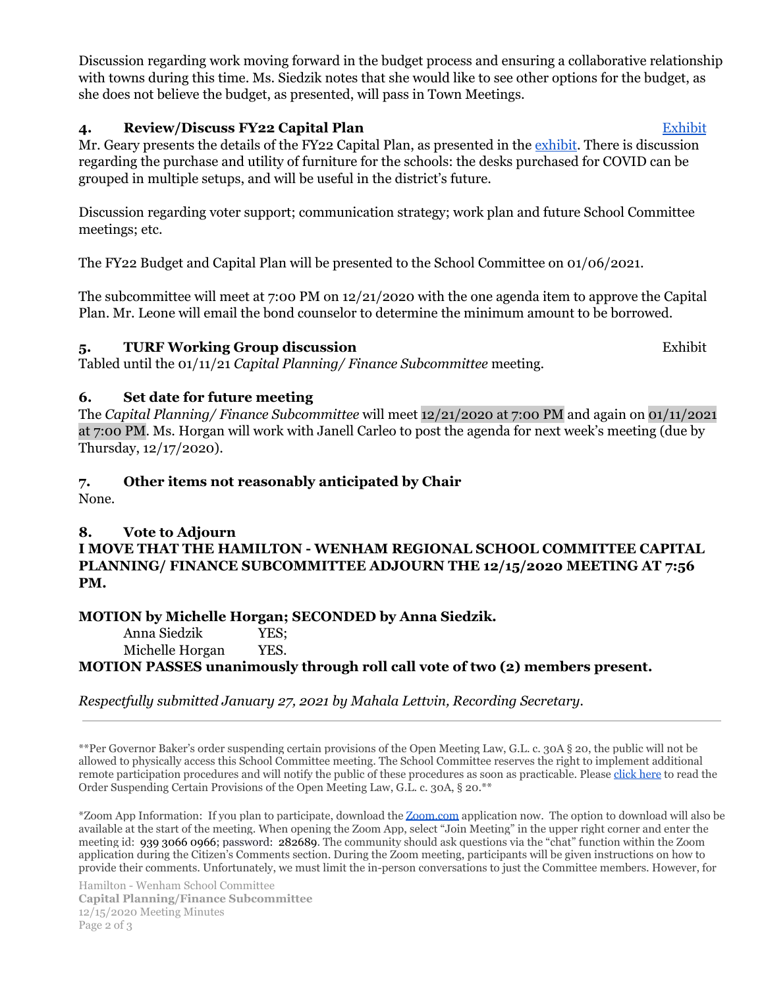Discussion regarding work moving forward in the budget process and ensuring a collaborative relationship with towns during this time. Ms. Siedzik notes that she would like to see other options for the budget, as she does not believe the budget, as presented, will pass in Town Meetings.

## **4. Review/Discuss FY22 Capital Plan** [Exhibit](https://docs.google.com/spreadsheets/d/124pZ4Yo32nejVeTQlINEYh1NcpvR0zoK/edit#gid=1366430001)

Mr. Geary presents the details of the FY22 Capital Plan, as presented in the [exhibit.](https://docs.google.com/spreadsheets/d/124pZ4Yo32nejVeTQlINEYh1NcpvR0zoK/edit#gid=1366430001) There is discussion regarding the purchase and utility of furniture for the schools: the desks purchased for COVID can be grouped in multiple setups, and will be useful in the district's future.

Discussion regarding voter support; communication strategy; work plan and future School Committee meetings; etc.

The FY22 Budget and Capital Plan will be presented to the School Committee on 01/06/2021.

The subcommittee will meet at 7:00 PM on  $12/21/2020$  with the one agenda item to approve the Capital Plan. Mr. Leone will email the bond counselor to determine the minimum amount to be borrowed.

# **5. TURF Working Group discussion** Exhibit

Tabled until the 01/11/21 *Capital Planning/ Finance Subcommittee* meeting.

# **6. Set date for future meeting**

The *Capital Planning/ Finance Subcommittee* will meet 12/21/2020 at 7:00 PM and again on 01/11/2021 at 7:00 PM. Ms. Horgan will work with Janell Carleo to post the agenda for next week's meeting (due by Thursday, 12/17/2020).

# **7. Other items not reasonably anticipated by Chair**

None.

## **8. Vote to Adjourn**

**I MOVE THAT THE HAMILTON - WENHAM REGIONAL SCHOOL COMMITTEE CAPITAL PLANNING/ FINANCE SUBCOMMITTEE ADJOURN THE 12/15/2020 MEETING AT 7:56 PM.**

## **MOTION by Michelle Horgan; SECONDED by Anna Siedzik.**

Anna Siedzik YES; Michelle Horgan YES. **MOTION PASSES unanimously through roll call vote of two (2) members present.**

*Respectfully submitted January 27, 2021 by Mahala Lettvin, Recording Secretary.*

\*\*Per Governor Baker's order suspending certain provisions of the Open Meeting Law, G.L. c. 30A § 20, the public will not be allowed to physically access this School Committee meeting. The School Committee reserves the right to implement additional remote participation procedures and will notify the public of these procedures as soon as practicable. Please [click here](https://41g41s33vxdd2vc05w415s1e-wpengine.netdna-ssl.com/wp-content/uploads/2020/03/OpenMtgLaw_ExecOrder_Mar32020.pdf) to read the Order Suspending Certain Provisions of the Open Meeting Law, G.L. c. 30A, § 20.\*\*

\*Zoom App Information: If you plan to participate, download the [Zoom.com](http://zoom.com/) application now. The option to download will also be available at the start of the meeting. When opening the Zoom App, select "Join Meeting" in the upper right corner and enter the meeting id: 939 3066 0966; password: 282689. The community should ask questions via the "chat" function within the Zoom application during the Citizen's Comments section. During the Zoom meeting, participants will be given instructions on how to provide their comments. Unfortunately, we must limit the in-person conversations to just the Committee members. However, for

Hamilton - Wenham School Committee **Capital Planning/Finance Subcommittee** 12/15/2020 Meeting Minutes Page 2 of 3